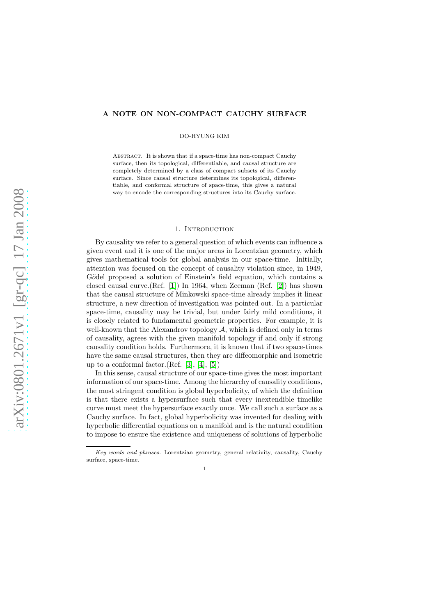## A NOTE ON NON-COMPACT CAUCHY SURFACE

DO-HYUNG KIM

Abstract. It is shown that if a space-time has non-compact Cauchy surface, then its topological, differentiable, and causal structure are completely determined by a class of compact subsets of its Cauchy surface. Since causal structure determines its topological, differentiable, and conformal structure of space-time, this gives a natural way to encode the corresponding structures into its Cauchy surface.

## 1. INTRODUCTION

By causality we refer to a general question of which events can influence a given event and it is one of the major areas in Lorentzian geometry, which gives mathematical tools for global analysis in our space-time. Initially, attention was focused on the concept of causality violation since, in 1949, Gödel proposed a solution of Einstein's field equation, which contains a closed causal curve.(Ref. [\[1\]](#page-17-0)) In 1964, when Zeeman (Ref. [\[2\]](#page-17-1)) has shown that the causal structure of Minkowski space-time already implies it linear structure, a new direction of investigation was pointed out. In a particular space-time, causality may be trivial, but under fairly mild conditions, it is closely related to fundamental geometric properties. For example, it is well-known that the Alexandrov topology  $A$ , which is defined only in terms of causality, agrees with the given manifold topology if and only if strong causality condition holds. Furthermore, it is known that if two space-times have the same causal structures, then they are diffeomorphic and isometric up to a conformal factor.(Ref. [\[3\]](#page-17-2), [\[4\]](#page-17-3), [\[5\]](#page-18-0))

In this sense, causal structure of our space-time gives the most important information of our space-time. Among the hierarchy of causality conditions, the most stringent condition is global hyperbolicity, of which the definition is that there exists a hypersurface such that every inextendible timelike curve must meet the hypersurface exactly once. We call such a surface as a Cauchy surface. In fact, global hyperbolicity was invented for dealing with hyperbolic differential equations on a manifold and is the natural condition to impose to ensure the existence and uniqueness of solutions of hyperbolic

Key words and phrases. Lorentzian geometry, general relativity, causality, Cauchy surface, space-time.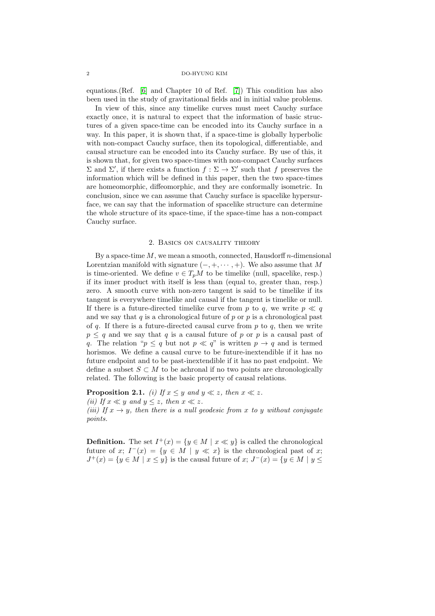equations.(Ref. [\[6\]](#page-18-1) and Chapter 10 of Ref. [\[7\]](#page-18-2)) This condition has also been used in the study of gravitational fields and in initial value problems.

In view of this, since any timelike curves must meet Cauchy surface exactly once, it is natural to expect that the information of basic structures of a given space-time can be encoded into its Cauchy surface in a way. In this paper, it is shown that, if a space-time is globally hyperbolic with non-compact Cauchy surface, then its topological, differentiable, and causal structure can be encoded into its Cauchy surface. By use of this, it is shown that, for given two space-times with non-compact Cauchy surfaces  $Σ$  and  $Σ'$ , if there exists a function  $f : Σ → Σ'$  such that f preserves the information which will be defined in this paper, then the two space-times are homeomorphic, diffeomorphic, and they are conformally isometric. In conclusion, since we can assume that Cauchy surface is spacelike hypersurface, we can say that the information of spacelike structure can determine the whole structure of its space-time, if the space-time has a non-compact Cauchy surface.

## 2. Basics on causality theory

By a space-time  $M$ , we mean a smooth, connected, Hausdorff n-dimensional Lorentzian manifold with signature  $(-, +, \dots, +)$ . We also assume that M is time-oriented. We define  $v \in T_pM$  to be timelike (null, spacelike, resp.) if its inner product with itself is less than (equal to, greater than, resp.) zero. A smooth curve with non-zero tangent is said to be timelike if its tangent is everywhere timelike and causal if the tangent is timelike or null. If there is a future-directed timelike curve from p to q, we write  $p \ll q$ and we say that q is a chronological future of p or p is a chronological past of q. If there is a future-directed causal curve from  $p$  to  $q$ , then we write  $p \leq q$  and we say that q is a causal future of p or p is a causal past of q. The relation " $p \le q$  but not  $p \ll q$ " is written  $p \to q$  and is termed horismos. We define a causal curve to be future-inextendible if it has no future endpoint and to be past-inextendible if it has no past endpoint. We define a subset  $S \subset M$  to be achronal if no two points are chronologically related. The following is the basic property of causal relations.

**Proposition 2.1.** (i) If  $x \leq y$  and  $y \ll z$ , then  $x \ll z$ . (ii) If  $x \ll y$  and  $y \leq z$ , then  $x \ll z$ . (iii) If  $x \to y$ , then there is a null geodesic from x to y without conjugate points.

**Definition.** The set  $I^+(x) = \{y \in M \mid x \ll y\}$  is called the chronological future of x;  $I^-(x) = \{y \in M \mid y \ll x\}$  is the chronological past of x;  $J^+(x) = \{y \in M \mid x \leq y\}$  is the causal future of  $x; J^-(x) = \{y \in M \mid y \leq y\}$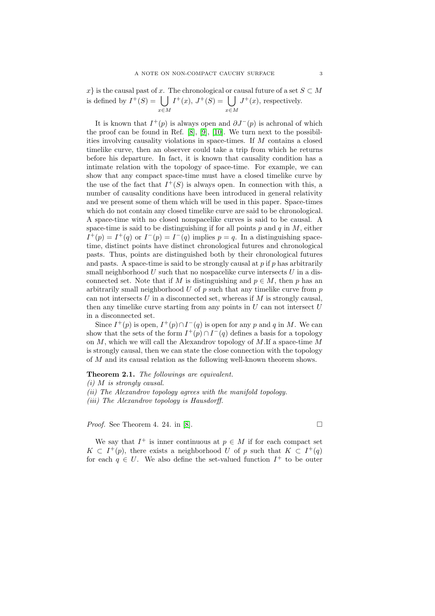x is the causal past of x. The chronological or causal future of a set  $S \subset M$ is defined by  $I^+(S) = \begin{bmatrix} \end{bmatrix}$ x∈M  $I^+(x)$ ,  $J^+(S) = \begin{bmatrix} \ \ \end{bmatrix}$ x∈M  $J^+(x)$ , respectively.

It is known that  $I^+(p)$  is always open and  $\partial J^-(p)$  is achronal of which the proof can be found in Ref. [\[8\]](#page-18-3), [\[9\]](#page-18-4), [\[10\]](#page-18-5). We turn next to the possibilities involving causality violations in space-times. If M contains a closed timelike curve, then an observer could take a trip from which he returns before his departure. In fact, it is known that causality condition has a intimate relation with the topology of space-time. For example, we can show that any compact space-time must have a closed timelike curve by the use of the fact that  $I^+(S)$  is always open. In connection with this, a number of causality conditions have been introduced in general relativity and we present some of them which will be used in this paper. Space-times which do not contain any closed timelike curve are said to be chronological. A space-time with no closed nonspacelike curves is said to be causal. A space-time is said to be distinguishing if for all points  $p$  and  $q$  in  $M$ , either  $I^+(p) = I^+(q)$  or  $I^-(p) = I^-(q)$  implies  $p = q$ . In a distinguishing spacetime, distinct points have distinct chronological futures and chronological pasts. Thus, points are distinguished both by their chronological futures and pasts. A space-time is said to be strongly causal at  $p$  if  $p$  has arbitrarily small neighborhood  $U$  such that no nospacelike curve intersects  $U$  in a disconnected set. Note that if M is distinguishing and  $p \in M$ , then p has an arbitrarily small neighborhood  $U$  of  $p$  such that any timelike curve from  $p$ can not intersects  $U$  in a disconnected set, whereas if  $M$  is strongly causal, then any timelike curve starting from any points in  $U$  can not intersect  $U$ in a disconnected set.

Since  $I^+(p)$  is open,  $I^+(p) \cap I^-(q)$  is open for any p and q in M. We can show that the sets of the form  $I^+(p) \cap I^-(q)$  defines a basis for a topology on  $M$ , which we will call the Alexandrov topology of  $M$ . If a space-time  $M$ is strongly causal, then we can state the close connection with the topology of M and its causal relation as the following well-known theorem shows.

Theorem 2.1. The followings are equivalent.

(ii) The Alexandrov topology agrees with the manifold topology.

(iii) The Alexandrov topology is Hausdorff.

*Proof.* See Theorem 4. 24. in [\[8\]](#page-18-3).  $\Box$ 

We say that  $I^+$  is inner continuous at  $p \in M$  if for each compact set  $K \subset I^+(p)$ , there exists a neighborhood U of p such that  $K \subset I^+(q)$ for each  $q \in U$ . We also define the set-valued function  $I^+$  to be outer

<sup>(</sup>i) M is strongly causal.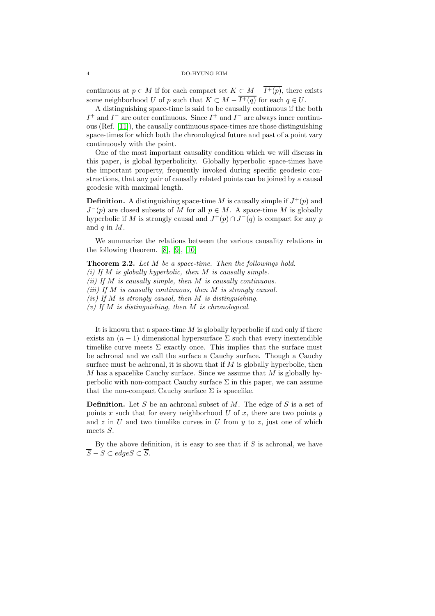continuous at  $p \in M$  if for each compact set  $K \subset M - \overline{I^+(p)}$ , there exists some neighborhood U of p such that  $K \subset M - \overline{I^+(q)}$  for each  $q \in U$ .

A distinguishing space-time is said to be causally continuous if the both  $I^+$  and  $I^-$  are outer continuous. Since  $I^+$  and  $I^-$  are always inner continuous (Ref. [\[11\]](#page-18-6)), the causally continuous space-times are those distinguishing space-times for which both the chronological future and past of a point vary continuously with the point.

One of the most important causality condition which we will discuss in this paper, is global hyperbolicity. Globally hyperbolic space-times have the important property, frequently invoked during specific geodesic constructions, that any pair of causally related points can be joined by a causal geodesic with maximal length.

**Definition.** A distinguishing space-time M is causally simple if  $J^+(p)$  and  $J^-(p)$  are closed subsets of M for all  $p \in M$ . A space-time M is globally hyperbolic if M is strongly causal and  $J^+(p) \cap J^-(q)$  is compact for any p and  $q$  in  $M$ .

We summarize the relations between the various causality relations in the following theorem. [\[8\]](#page-18-3), [\[9\]](#page-18-4), [\[10\]](#page-18-5)

Theorem 2.2. Let M be a space-time. Then the followings hold. (i) If  $M$  is globally hyperbolic, then  $M$  is causally simple. (ii) If  $M$  is causally simple, then  $M$  is causally continuous. (iii) If  $M$  is causally continuous, then  $M$  is strongly causal. (iv) If  $M$  is strongly causal, then  $M$  is distinguishing. (v) If  $M$  is distinguishing, then  $M$  is chronological.

It is known that a space-time  $M$  is globally hyperbolic if and only if there exists an  $(n-1)$  dimensional hypersurface  $\Sigma$  such that every inextendible timelike curve meets  $\Sigma$  exactly once. This implies that the surface must be achronal and we call the surface a Cauchy surface. Though a Cauchy surface must be achronal, it is shown that if  $M$  is globally hyperbolic, then M has a spacelike Cauchy surface. Since we assume that M is globally hyperbolic with non-compact Cauchy surface  $\Sigma$  in this paper, we can assume that the non-compact Cauchy surface  $\Sigma$  is spacelike.

**Definition.** Let S be an achronal subset of M. The edge of S is a set of points  $x$  such that for every neighborhood  $U$  of  $x$ , there are two points  $y$ and  $z$  in  $U$  and two timelike curves in  $U$  from  $y$  to  $z$ , just one of which meets S.

By the above definition, it is easy to see that if  $S$  is achronal, we have  $\overline{S} - S \subset \text{edge } S \subset \overline{S}.$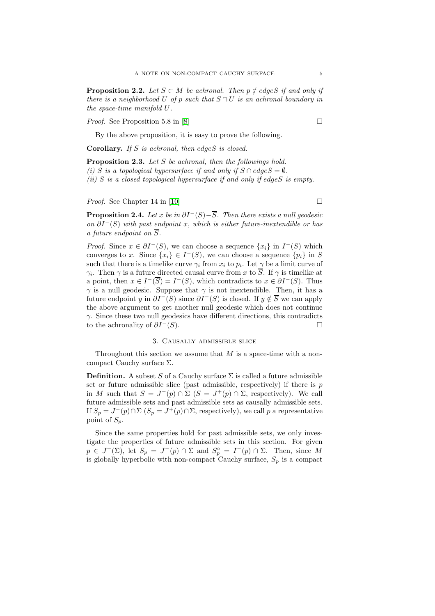**Proposition 2.2.** Let  $S \subset M$  be achronal. Then  $p \notin edges$  if and only if there is a neighborhood U of p such that  $S \cap U$  is an achronal boundary in the space-time manifold U.

*Proof.* See Proposition 5.8 in [\[8\]](#page-18-3)

By the above proposition, it is easy to prove the following.

Corollary. If  $S$  is achronal, then edge $S$  is closed.

<span id="page-4-0"></span>Proposition 2.3. Let S be achronal, then the followings hold. (i) S is a topological hypersurface if and only if  $S \cap edgeS = \emptyset$ . (ii) S is a closed topological hypersurface if and only if edgeS is empty.

*Proof.* See Chapter 14 in [\[10\]](#page-18-5)

<span id="page-4-1"></span>**Proposition 2.4.** Let x be in  $\partial I^-(S) - \overline{S}$ . Then there exists a null geodesic on  $\partial I^{-}(S)$  with past endpoint x, which is either future-inextendible or has a future endpoint on  $\overline{S}$ .

*Proof.* Since  $x \in \partial I^{-}(S)$ , we can choose a sequence  $\{x_i\}$  in  $I^{-}(S)$  which converges to x. Since  $\{x_i\} \in I^-(S)$ , we can choose a sequence  $\{p_i\}$  in S such that there is a timelike curve  $\gamma_i$  from  $x_i$  to  $p_i$ . Let  $\gamma$  be a limit curve of  $\gamma_i$ . Then  $\gamma$  is a future directed causal curve from x to S. If  $\gamma$  is timelike at a point, then  $x \in I^{-}(\overline{S}) = I^{-}(S)$ , which contradicts to  $x \in \partial I^{-}(S)$ . Thus  $\gamma$  is a null geodesic. Suppose that  $\gamma$  is not inextendible. Then, it has a future endpoint y in  $\partial I^-(S)$  since  $\partial I^-(S)$  is closed. If  $y \notin \overline{S}$  we can apply the above argument to get another null geodesic which does not continue  $\gamma$ . Since these two null geodesics have different directions, this contradicts to the achronality of  $\partial I^{-}(S)$ .

## 3. Causally admissible slice

Throughout this section we assume that  $M$  is a space-time with a noncompact Cauchy surface  $\Sigma$ .

**Definition.** A subset S of a Cauchy surface  $\Sigma$  is called a future admissible set or future admissible slice (past admissible, respectively) if there is  $p$ in M such that  $S = J^-(p) \cap \Sigma$   $(S = J^+(p) \cap \Sigma$ , respectively). We call future admissible sets and past admissible sets as causally admissible sets. If  $S_p = J^-(p) \cap \Sigma$   $(S_p = J^+(p) \cap \Sigma$ , respectively), we call p a representative point of  $S_p$ .

Since the same properties hold for past admissible sets, we only investigate the properties of future admissible sets in this section. For given  $p \in J^+(\Sigma)$ , let  $S_p = J^-(p) \cap \Sigma$  and  $S_p^{\circ} = I^-(p) \cap \Sigma$ . Then, since M is globally hyperbolic with non-compact Cauchy surface,  $S_p$  is a compact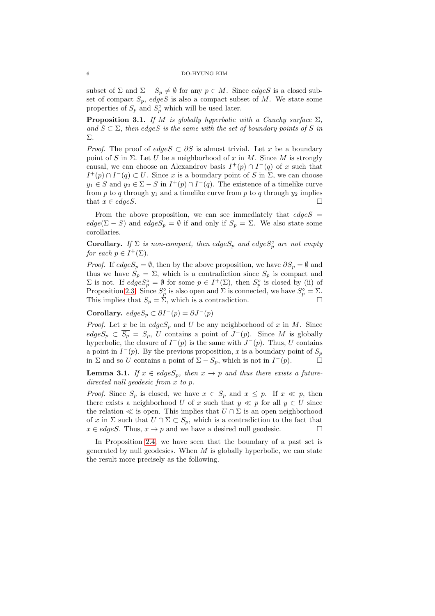subset of  $\Sigma$  and  $\Sigma - S_p \neq \emptyset$  for any  $p \in M$ . Since *edgeS* is a closed subset of compact  $S_p$ , edgeS is also a compact subset of M. We state some properties of  $S_p$  and  $S_p^{\circ}$  which will be used later.

<span id="page-5-1"></span>**Proposition 3.1.** If M is globally hyperbolic with a Cauchy surface  $\Sigma$ , and  $S \subset \Sigma$ , then edgeS is the same with the set of boundary points of S in Σ.

*Proof.* The proof of  $edge S \subset \partial S$  is almost trivial. Let x be a boundary point of S in  $\Sigma$ . Let U be a neighborhood of x in M. Since M is strongly causal, we can choose an Alexandrov basis  $I^+(p) \cap I^-(q)$  of x such that  $I^+(p) \cap I^-(q) \subset U$ . Since x is a boundary point of S in  $\Sigma$ , we can choose  $y_1 \in S$  and  $y_2 \in \Sigma - S$  in  $I^+(p) \cap I^-(q)$ . The existence of a timelike curve from p to q through  $y_1$  and a timelike curve from p to q through  $y_2$  implies that  $x \in edgeS$ .

From the above proposition, we can see immediately that  $edge S =$  $edge(\Sigma - S)$  and  $edgeS_p = \emptyset$  if and only if  $S_p = \Sigma$ . We also state some corollaries.

**Corollary.** If  $\Sigma$  is non-compact, then edge $S_p$  and edge $S_p^{\circ}$  are not empty for each  $p \in I^+(\Sigma)$ .

*Proof.* If  $edgeS_p = \emptyset$ , then by the above proposition, we have  $\partial S_p = \emptyset$  and thus we have  $S_p = \Sigma$ , which is a contradiction since  $S_p$  is compact and  $\Sigma$  is not. If  $edge S_p^{\circ} = \emptyset$  for some  $p \in I^+(\Sigma)$ , then  $S_p^{\circ}$  is closed by (ii) of Proposition [2.3.](#page-4-0) Since  $S_p^{\circ}$  is also open and  $\Sigma$  is connected, we have  $S_p^{\circ} = \Sigma$ . This implies that  $S_p = \sum_{r=1}^{p}$ , which is a contradiction.

Corollary.  $edgeS_p \subset \partial I^-(p) = \partial J^-(p)$ 

*Proof.* Let x be in  $edgeS_p$  and U be any neighborhood of x in M. Since  $edge S_p \subset \overline{S_p} = S_p$ , U contains a point of  $J^-(p)$ . Since M is globally hyperbolic, the closure of  $I^-(p)$  is the same with  $J^-(p)$ . Thus, U contains a point in  $I^-(p)$ . By the previous proposition, x is a boundary point of  $S_p$ in  $\Sigma$  and so U contains a point of  $\Sigma - S_p$ , which is not in  $I^-(p)$ .

<span id="page-5-0"></span>**Lemma 3.1.** If  $x \in edges_p$ , then  $x \to p$  and thus there exists a futuredirected null geodesic from x to p.

*Proof.* Since  $S_p$  is closed, we have  $x \in S_p$  and  $x \leq p$ . If  $x \ll p$ , then there exists a neighborhood U of x such that  $y \ll p$  for all  $y \in U$  since the relation  $\ll$  is open. This implies that  $U \cap \Sigma$  is an open neighborhood of x in  $\Sigma$  such that  $U \cap \Sigma \subset S_p$ , which is a contradiction to the fact that  $x \in edges$ . Thus,  $x \to p$  and we have a desired null geodesic.

In Proposition [2.4,](#page-4-1) we have seen that the boundary of a past set is generated by null geodesics. When  $M$  is globally hyperbolic, we can state the result more precisely as the following.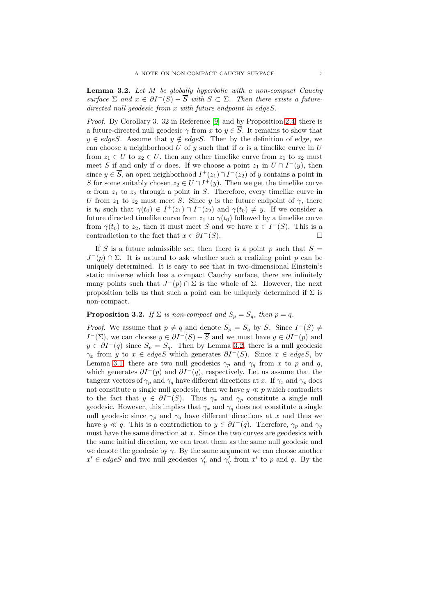<span id="page-6-0"></span>Lemma 3.2. Let M be globally hyperbolic with a non-compact Cauchy surface  $\Sigma$  and  $x \in \partial I^{-}(S) - \overline{S}$  with  $S \subset \Sigma$ . Then there exists a futuredirected null geodesic from x with future endpoint in edgeS.

Proof. By Corollary 3. 32 in Reference [\[9\]](#page-18-4) and by Proposition [2.4,](#page-4-1) there is a future-directed null geodesic  $\gamma$  from x to  $y \in \overline{S}$ . It remains to show that  $y \in edges$ . Assume that  $y \notin edges$ . Then by the definition of edge, we can choose a neighborhood U of y such that if  $\alpha$  is a timelike curve in U from  $z_1 \in U$  to  $z_2 \in U$ , then any other timelike curve from  $z_1$  to  $z_2$  must meet S if and only if  $\alpha$  does. If we choose a point  $z_1$  in  $U \cap I^-(y)$ , then since  $y \in \overline{S}$ , an open neighborhood  $I^+(z_1) \cap I^-(z_2)$  of y contains a point in S for some suitably chosen  $z_2 \in U \cap I^+(y)$ . Then we get the timelike curve  $\alpha$  from  $z_1$  to  $z_2$  through a point in S. Therefore, every timelike curve in U from  $z_1$  to  $z_2$  must meet S. Since y is the future endpoint of  $\gamma$ , there is  $t_0$  such that  $\gamma(t_0) \in I^+(z_1) \cap I^-(z_2)$  and  $\gamma(t_0) \neq y$ . If we consider a future directed timelike curve from  $z_1$  to  $\gamma(t_0)$  followed by a timelike curve from  $\gamma(t_0)$  to  $z_2$ , then it must meet S and we have  $x \in I^-(S)$ . This is a contradiction to the fact that  $x \in \partial I^{-}(S)$ .

If S is a future admissible set, then there is a point p such that  $S =$  $J^-(p) \cap \Sigma$ . It is natural to ask whether such a realizing point p can be uniquely determined. It is easy to see that in two-dimensional Einstein's static universe which has a compact Cauchy surface, there are infinitely many points such that  $J^-(p) \cap \Sigma$  is the whole of  $\Sigma$ . However, the next proposition tells us that such a point can be uniquely determined if  $\Sigma$  is non-compact.

# <span id="page-6-1"></span>**Proposition 3.2.** If  $\Sigma$  is non-compact and  $S_p = S_q$ , then  $p = q$ .

*Proof.* We assume that  $p \neq q$  and denote  $S_p = S_q$  by S. Since  $I^-(S) \neq$  $I^-(\Sigma)$ , we can choose  $y \in \partial I^-(S) - \overline{S}$  and we must have  $y \in \partial I^-(p)$  and  $y \in \partial I^-(q)$  since  $S_p = S_q$ . Then by Lemma [3.2,](#page-6-0) there is a null geodesic  $\gamma_x$  from y to  $x \in edges$  which generates  $\partial I^-(S)$ . Since  $x \in edges$ , by Lemma [3.1,](#page-5-0) there are two null geodesics  $\gamma_p$  and  $\gamma_q$  from x to p and q, which generates  $\partial I^-(p)$  and  $\partial I^-(q)$ , respectively. Let us assume that the tangent vectors of  $\gamma_p$  and  $\gamma_q$  have different directions at x. If  $\gamma_x$  and  $\gamma_p$  does not constitute a single null geodesic, then we have  $y \ll p$  which contradicts to the fact that  $y \in \partial I^{-}(S)$ . Thus  $\gamma_x$  and  $\gamma_p$  constitute a single null geodesic. However, this implies that  $\gamma_x$  and  $\gamma_q$  does not constitute a single null geodesic since  $\gamma_p$  and  $\gamma_q$  have different directions at x and thus we have  $y \ll q$ . This is a contradiction to  $y \in \partial I^-(q)$ . Therefore,  $\gamma_p$  and  $\gamma_q$ must have the same direction at  $x$ . Since the two curves are geodesics with the same initial direction, we can treat them as the same null geodesic and we denote the geodesic by  $\gamma$ . By the same argument we can choose another  $x' \in edges$  and two null geodesics  $\gamma_p'$  and  $\gamma_q'$  from  $x'$  to p and q. By the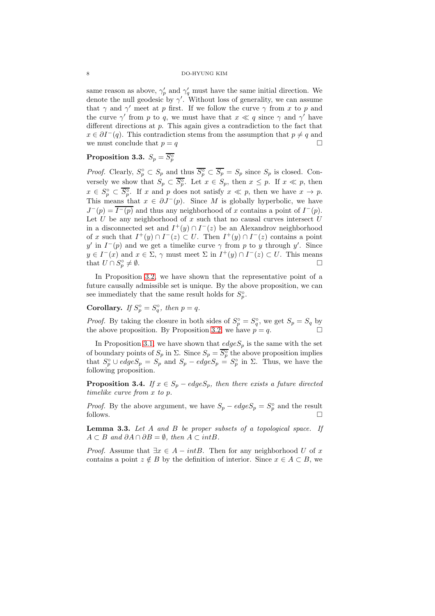same reason as above,  $\gamma'_p$  and  $\gamma'_q$  must have the same initial direction. We denote the null geodesic by  $\gamma'$ . Without loss of generality, we can assume that  $\gamma$  and  $\gamma'$  meet at p first. If we follow the curve  $\gamma$  from x to p and the curve  $\gamma'$  from p to q, we must have that  $x \ll q$  since  $\gamma$  and  $\gamma'$  have different directions at p. This again gives a contradiction to the fact that  $x \in \partial I^-(q)$ . This contradiction stems from the assumption that  $p \neq q$  and we must conclude that  $p = q$ 

# $\textbf{Proposition 3.3.} \ \ S_p = \overline{S_p^\circ}$

*Proof.* Clearly,  $S_p^{\circ} \subset S_p$  and thus  $\overline{S_p^{\circ}} \subset \overline{S_p} = S_p$  since  $S_p$  is closed. Conversely we show that  $S_p \subset \overline{S_p^{\circ}}$ . Let  $x \in S_p$ , then  $x \leq p$ . If  $x \ll p$ , then  $x \in S_p^{\circ} \subset \overline{S_p^{\circ}}$ . If x and p does not satisfy  $x \ll p$ , then we have  $x \to p$ . This means that  $x \in \partial J^-(p)$ . Since M is globally hyperbolic, we have  $J^-(p) = \overline{I^-(p)}$  and thus any neighborhood of x contains a point of  $I^-(p)$ . Let  $U$  be any neighborhood of  $x$  such that no causal curves intersect  $U$ in a disconnected set and  $I^+(y) \cap I^-(z)$  be an Alexandrov neighborhood of x such that  $I^+(y) \cap I^-(z) \subset U$ . Then  $I^+(y) \cap I^-(z)$  contains a point y' in  $I^-(p)$  and we get a timelike curve  $\gamma$  from p to y through y'. Since  $y \in I^-(x)$  and  $x \in \Sigma$ ,  $\gamma$  must meet  $\Sigma$  in  $I^+(y) \cap I^-(z) \subset U$ . This means that  $U \cap S_p^{\circ}$  $\neq \emptyset$ .

In Proposition [3.2,](#page-6-1) we have shown that the representative point of a future causally admissible set is unique. By the above proposition, we can see immediately that the same result holds for  $S_p^{\circ}$ .

Corollary. If  $S_p^{\circ} = S_q^{\circ}$ , then  $p = q$ .

*Proof.* By taking the closure in both sides of  $S_p^{\circ} = S_q^{\circ}$ , we get  $S_p = S_q$  by the above proposition. By Proposition [3.2,](#page-6-1) we have  $p = q$ .

In Proposition [3.1,](#page-5-1) we have shown that  $edgeS_p$  is the same with the set of boundary points of  $S_p$  in  $\Sigma$ . Since  $S_p = \overline{S_p^{\circ}}$  the above proposition implies that  $S_p^{\circ} \cup$  edge $S_p = S_p^{\circ}$  and  $S_p -$  edge $S_p = S_p^{\circ}$  in  $\Sigma$ . Thus, we have the following proposition.

**Proposition 3.4.** If  $x \in S_p - edges_p$ , then there exists a future directed timelike curve from x to p.

*Proof.* By the above argument, we have  $S_p - edge S_p = S_p^{\circ}$  and the result follows.  $\Box$ 

<span id="page-7-0"></span>Lemma 3.3. Let A and B be proper subsets of a topological space. If  $A \subset B$  and  $\partial A \cap \partial B = \emptyset$ , then  $A \subset intB$ .

*Proof.* Assume that  $\exists x \in A - intB$ . Then for any neighborhood U of x contains a point  $z \notin B$  by the definition of interior. Since  $x \in A \subset B$ , we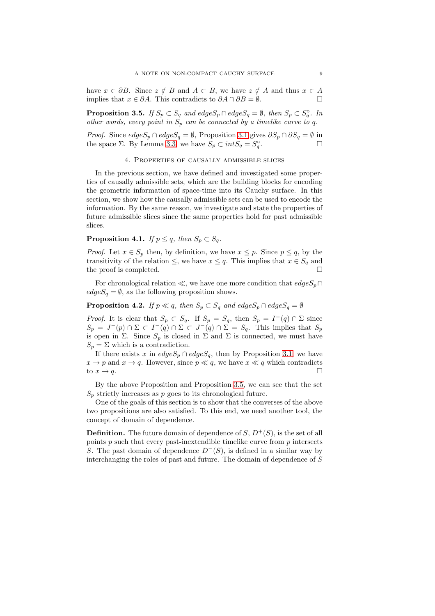have  $x \in \partial B$ . Since  $z \notin B$  and  $A \subset B$ , we have  $z \notin A$  and thus  $x \in A$ implies that  $x \in \partial A$ . This contradicts to  $\partial A \cap \partial B = \emptyset$ .

<span id="page-8-0"></span>**Proposition 3.5.** If  $S_p \subset S_q$  and  $edge S_p \cap edge S_q = \emptyset$ , then  $S_p \subset S_q^{\circ}$ . In other words, every point in  $S_p$  can be connected by a timelike curve to q.

<span id="page-8-3"></span>*Proof.* Since  $edgeS_p \cap edgeS_q = \emptyset$ , Proposition [3.1](#page-5-1) gives  $\partial S_p \cap \partial S_q = \emptyset$  in the space  $\Sigma$ . By Lemma [3.3,](#page-7-0) we have  $S_p \subset intS_q = S_q^{\circ}$ . <sup>1</sup> <sup>1</sup> □

#### 4. Properties of causally admissible slices

In the previous section, we have defined and investigated some properties of causally admissible sets, which are the building blocks for encoding the geometric information of space-time into its Cauchy surface. In this section, we show how the causally admissible sets can be used to encode the information. By the same reason, we investigate and state the properties of future admissible slices since the same properties hold for past admissible slices.

<span id="page-8-2"></span>**Proposition 4.1.** If  $p \leq q$ , then  $S_p \subset S_q$ .

*Proof.* Let  $x \in S_p$  then, by definition, we have  $x \leq p$ . Since  $p \leq q$ , by the transitivity of the relation  $\leq$ , we have  $x \leq q$ . This implies that  $x \in S_q$  and the proof is completed.

For chronological relation  $\ll$ , we have one more condition that  $edgeS_p \cap$  $edgeS<sub>q</sub> = \emptyset$ , as the following proposition shows.

<span id="page-8-1"></span>**Proposition 4.2.** If  $p \ll q$ , then  $S_p \subset S_q$  and  $edgeS_p \cap edgeS_q = \emptyset$ 

*Proof.* It is clear that  $S_p \subset S_q$ . If  $S_p = S_q$ , then  $S_p = I^-(q) \cap \Sigma$  since  $S_p = J^-(p) \cap \Sigma \subset I^-(q) \cap \Sigma \subset J^-(q) \cap \Sigma = S_q$ . This implies that  $S_p$ is open in  $\Sigma$ . Since  $S_p$  is closed in  $\Sigma$  and  $\Sigma$  is connected, we must have  $S_p = \Sigma$  which is a contradiction.

If there exists x in  $edgeS_p \cap edgeS_q$ , then by Proposition [3.1,](#page-5-0) we have  $x \to p$  and  $x \to q$ . However, since  $p \ll q$ , we have  $x \ll q$  which contradicts to  $x \to q$ .

By the above Proposition and Proposition [3.5,](#page-8-0) we can see that the set  $S_p$  strictly increases as p goes to its chronological future.

One of the goals of this section is to show that the converses of the above two propositions are also satisfied. To this end, we need another tool, the concept of domain of dependence.

**Definition.** The future domain of dependence of  $S$ ,  $D^+(S)$ , is the set of all points  $p$  such that every past-inextendible timelike curve from  $p$  intersects S. The past domain of dependence  $D^{-}(S)$ , is defined in a similar way by interchanging the roles of past and future. The domain of dependence of S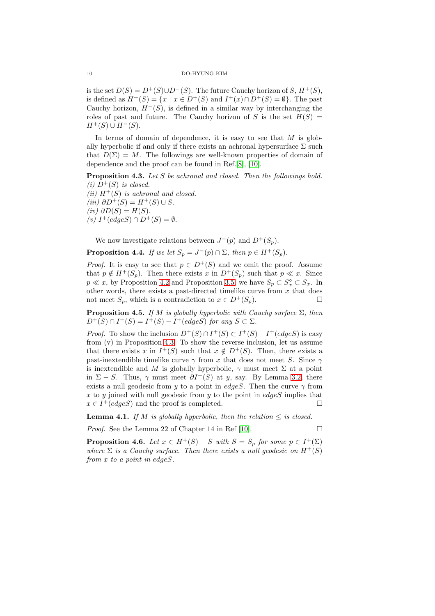is the set  $D(S) = D^+(S) \cup D^-(S)$ . The future Cauchy horizon of S,  $H^+(S)$ , is defined as  $H^+(S) = \{x \mid x \in D^+(S) \text{ and } I^+(x) \cap D^+(S) = \emptyset\}.$  The past Cauchy horizon,  $H^{-}(S)$ , is defined in a similar way by interchanging the roles of past and future. The Cauchy horizon of S is the set  $H(S)$  =  $H^+(S) \cup H^-(S)$ .

In terms of domain of dependence, it is easy to see that  $M$  is globally hyperbolic if and only if there exists an achronal hypersurface  $\Sigma$  such that  $D(\Sigma) = M$ . The followings are well-known properties of domain of dependence and the proof can be found in Ref.[\[8\]](#page-18-3), [\[10\]](#page-18-5).

<span id="page-9-0"></span>Proposition 4.3. Let S be achronal and closed. Then the followings hold. (i)  $D^+(S)$  is closed.

(ii)  $H^+(S)$  is achronal and closed. (iii)  $\partial D^+(S) = H^+(S) \cup S$ .  $(iv)$  ∂D(S) = H(S). (v)  $I^+(edges) \cap D^+(S) = \emptyset$ .

We now investigate relations between  $J^-(p)$  and  $D^+(S_p)$ .

<span id="page-9-2"></span>**Proposition 4.4.** If we let  $S_p = J^-(p) \cap \Sigma$ , then  $p \in H^+(S_p)$ .

*Proof.* It is easy to see that  $p \in D^+(S)$  and we omit the proof. Assume that  $p \notin H^+(S_p)$ . Then there exists x in  $D^+(S_p)$  such that  $p \ll x$ . Since  $p \ll x$ , by Proposition [4.2](#page-8-1) and Proposition [3.5,](#page-8-0) we have  $S_p \subset S_x^{\circ} \subset S_x$ . In other words, there exists a past-directed timelike curve from  $x$  that does not meet  $S_p$ , which is a contradiction to  $x \in D^+(S_p)$ .

<span id="page-9-1"></span>**Proposition 4.5.** If M is globally hyperbolic with Cauchy surface  $\Sigma$ , then  $D^+(S) \cap I^+(S) = I^+(S) - I^+(edges)$  for any  $S \subset \Sigma$ .

*Proof.* To show the inclusion  $D^+(S) \cap I^+(S) \subset I^+(S) - I^+(edge S)$  is easy from (v) in Proposition [4.3.](#page-9-0) To show the reverse inclusion, let us assume that there exists x in  $I^+(S)$  such that  $x \notin D^+(S)$ . Then, there exists a past-inextendible timelike curve  $\gamma$  from x that does not meet S. Since  $\gamma$ is inextendible and M is globally hyperbolic,  $\gamma$  must meet  $\Sigma$  at a point in  $\Sigma - S$ . Thus,  $\gamma$  must meet  $\partial I^+(S)$  at y, say. By Lemma [3.2,](#page-6-0) there exists a null geodesic from y to a point in  $edgeS$ . Then the curve  $\gamma$  from x to y joined with null geodesic from y to the point in  $edgeS$  implies that  $x \in I^+(edges)$  and the proof is completed.

<span id="page-9-4"></span>**Lemma 4.1.** If M is globally hyperbolic, then the relation  $\leq$  is closed.

*Proof.* See the Lemma 22 of Chapter 14 in Ref [\[10\]](#page-18-5).  $\Box$ 

<span id="page-9-3"></span>**Proposition 4.6.** Let  $x \in H^+(S) - S$  with  $S = S_p$  for some  $p \in I^+(\Sigma)$ where  $\Sigma$  is a Cauchy surface. Then there exists a null geodesic on  $H^+(S)$ from x to a point in edgeS.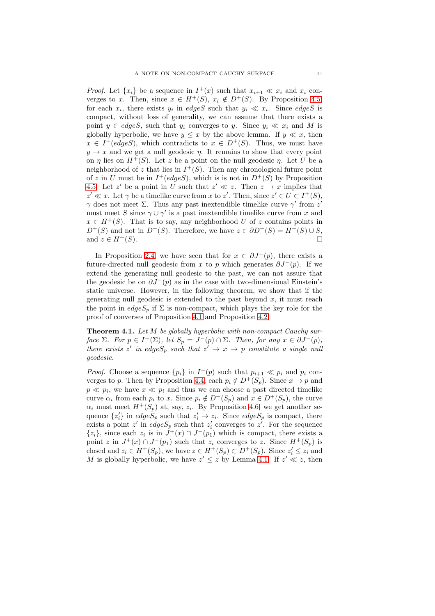*Proof.* Let  $\{x_i\}$  be a sequence in  $I^+(x)$  such that  $x_{i+1} \ll x_i$  and  $x_i$  converges to x. Then, since  $x \in H^+(S)$ ,  $x_i \notin D^+(S)$ . By Proposition [4.5,](#page-9-1) for each  $x_i$ , there exists  $y_i$  in edgeS such that  $y_i \ll x_i$ . Since edgeS is compact, without loss of generality, we can assume that there exists a point  $y \in edgeS$ , such that  $y_i$  converges to y. Since  $y_i \ll x_i$  and M is globally hyperbolic, we have  $y \leq x$  by the above lemma. If  $y \ll x$ , then  $x \in I^+(edges)$ , which contradicts to  $x \in D^+(S)$ . Thus, we must have  $y \rightarrow x$  and we get a null geodesic  $\eta$ . It remains to show that every point on  $\eta$  lies on  $H^+(S)$ . Let z be a point on the null geodesic  $\eta$ . Let U be a neighborhood of z that lies in  $I^+(S)$ . Then any chronological future point of z in U must be in  $I^+(edges)$ , which is is not in  $D^+(S)$  by Proposition [4.5.](#page-9-1) Let z' be a point in U such that  $z' \ll z$ . Then  $z \to x$  implies that  $z' \ll x$ . Let  $\gamma$  be a timelike curve from x to z'. Then, since  $z' \in U \subset I^+(S)$ ,  $γ$  does not meet Σ. Thus any past inextendible timelike curve  $γ'$  from  $z'$ must meet S since  $\gamma \cup \gamma'$  is a past inextendible timelike curve from x and  $x \in H^+(S)$ . That is to say, any neighborhood U of z contains points in  $D^+(S)$  and not in  $D^+(S)$ . Therefore, we have  $z \in \partial D^+(S) = H^+(S) \cup S$ , and  $z \in H^+(S)$ .

In Proposition [2.4,](#page-4-1) we have seen that for  $x \in \partial J^-(p)$ , there exists a future-directed null geodesic from x to p which generates  $\partial J^-(p)$ . If we extend the generating null geodesic to the past, we can not assure that the geodesic be on  $\partial J^-(p)$  as in the case with two-dimensional Einstein's static universe. However, in the following theorem, we show that if the generating null geodesic is extended to the past beyond  $x$ , it must reach the point in  $edgeS_p$  if  $\Sigma$  is non-compact, which plays the key role for the proof of converses of Proposition [4.1](#page-8-2) and Proposition [4.2.](#page-8-1)

<span id="page-10-0"></span>Theorem 4.1. Let M be globally hyperbolic with non-compact Cauchy surface  $\Sigma$ . For  $p \in I^+(\Sigma)$ , let  $S_p = J^-(p) \cap \Sigma$ . Then, for any  $x \in \partial J^-(p)$ , there exists z' in edge $S_p$  such that  $z' \rightarrow x \rightarrow p$  constitute a single null geodesic.

*Proof.* Choose a sequence  $\{p_i\}$  in  $I^+(p)$  such that  $p_{i+1} \ll p_i$  and  $p_i$  con-verges to p. Then by Proposition [4.4,](#page-9-2) each  $p_i \notin D^+(S_n)$ . Since  $x \to p$  and  $p \ll p_i$ , we have  $x \ll p_i$  and thus we can choose a past directed timelike curve  $\alpha_i$  from each  $p_i$  to x. Since  $p_i \notin D^+(S_p)$  and  $x \in D^+(S_p)$ , the curve  $\alpha_i$  must meet  $H^+(S_p)$  at, say,  $z_i$ . By Proposition [4.6,](#page-9-3) we get another sequence  $\{z'_i\}$  in edge $S_p$  such that  $z'_i \to z_i$ . Since edges<sub>p</sub> is compact, there exists a point z' in edge  $S_p$  such that  $z'_i$  converges to  $z'$ . For the sequence  $\{z_i\}$ , since each  $z_i$  is in  $\hat{J}^+(x) \cap J^-(p_1)$  which is compact, there exists a point z in  $J^+(x) \cap J^-(p_1)$  such that  $z_i$  converges to z. Since  $H^+(S_p)$  is closed and  $z_i \in H^+(S_p)$ , we have  $z \in H^+(S_p) \subset D^+(S_p)$ . Since  $z_i' \leq z_i$  and M is globally hyperbolic, we have  $z' \leq z$  by Lemma [4.1.](#page-9-4) If  $z' \ll z$ , then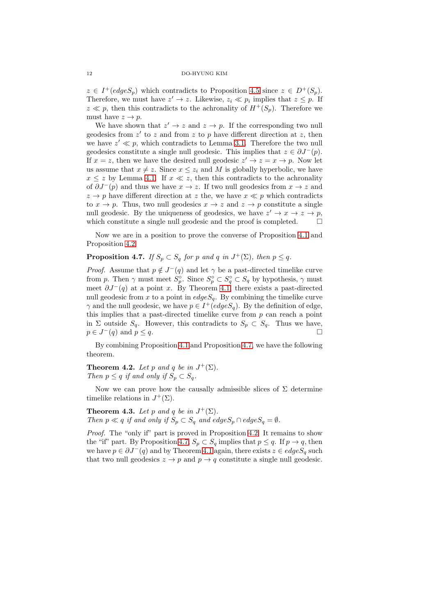$z \in I^+(edge S_p)$  which contradicts to Proposition [4.5](#page-9-1) since  $z \in D^+(S_p)$ . Therefore, we must have  $z' \to z$ . Likewise,  $z_i \ll p_i$  implies that  $z \leq p$ . If  $z \ll p$ , then this contradicts to the achronality of  $H^+(S_p)$ . Therefore we must have  $z \to p$ .

We have shown that  $z' \to z$  and  $z \to p$ . If the corresponding two null geodesics from  $z'$  to  $z$  and from  $z$  to  $p$  have different direction at  $z$ , then we have  $z' \ll p$ , which contradicts to Lemma [3.1.](#page-5-0) Therefore the two null geodesics constitute a single null geodesic. This implies that  $z \in \partial J^-(p)$ . If  $x = z$ , then we have the desired null geodesic  $z' \rightarrow z = x \rightarrow p$ . Now let us assume that  $x \neq z$ . Since  $x \leq z_i$  and M is globally hyperbolic, we have  $x \leq z$  by Lemma [4.1.](#page-9-4) If  $x \ll z$ , then this contradicts to the achronality of  $\partial J^-(p)$  and thus we have  $x \to z$ . If two null geodesics from  $x \to z$  and  $z \rightarrow p$  have different direction at z the, we have  $x \ll p$  which contradicts to  $x \to p$ . Thus, two null geodesics  $x \to z$  and  $z \to p$  constitute a single null geodesic. By the uniqueness of geodesics, we have  $z' \to x \to z \to p$ , which constitute a single null geodesic and the proof is completed.  $\Box$ 

Now we are in a position to prove the converse of Proposition [4.1](#page-8-2) and Proposition [4.2.](#page-8-1)

# <span id="page-11-0"></span>**Proposition 4.7.** If  $S_p \subset S_q$  for p and q in  $J^+(\Sigma)$ , then  $p \leq q$ .

*Proof.* Assume that  $p \notin J^-(q)$  and let  $\gamma$  be a past-directed timelike curve from p. Then  $\gamma$  must meet  $S_p^{\circ}$ . Since  $S_p^{\circ} \subset S_q^{\circ} \subset S_q$  by hypothesis,  $\gamma$  must meet  $\partial J^-(q)$  at a point x. By Theorem [4.1,](#page-10-0) there exists a past-directed null geodesic from x to a point in  $edgeS_q$ . By combining the timelike curve  $\gamma$  and the null geodesic, we have  $p \in I^+(edges_q)$ . By the definition of edge, this implies that a past-directed timelike curve from  $p$  can reach a point in  $\Sigma$  outside  $S_q$ . However, this contradicts to  $S_p \subset S_q$ . Thus we have,  $p \in J^-(q)$  and  $p \le q$ .

By combining Proposition [4.1](#page-8-2) and Proposition [4.7,](#page-11-0) we have the following theorem.

<span id="page-11-2"></span>**Theorem 4.2.** Let p and q be in  $J^+(\Sigma)$ . Then  $p \leq q$  if and only if  $S_p \subset S_q$ .

Now we can prove how the causally admissible slices of  $\Sigma$  determine timelike relations in  $J^+(\Sigma)$ .

<span id="page-11-1"></span>**Theorem 4.3.** Let p and q be in  $J^+(\Sigma)$ . Then  $p \ll q$  if and only if  $S_p \subset S_q$  and edge $S_p \cap edgeS_q = \emptyset$ .

Proof. The "only if" part is proved in Proposition [4.2.](#page-8-1) It remains to show the "if" part. By Proposition [4.7,](#page-11-0)  $S_p \subset S_q$  implies that  $p \leq q$ . If  $p \to q$ , then we have  $p \in \partial J^{-}(q)$  and by Theorem [4.1](#page-10-0) again, there exists  $z \in edgeS_q$  such that two null geodesics  $z \to p$  and  $p \to q$  constitute a single null geodesic.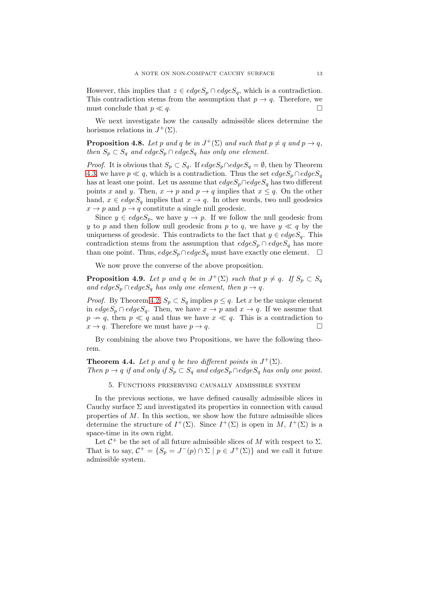However, this implies that  $z \in edgeS_p \cap edgeS_q$ , which is a contradiction. This contradiction stems from the assumption that  $p \to q$ . Therefore, we must conclude that  $p \ll q$ .

We next investigate how the causally admissible slices determine the horismos relations in  $J^+(\Sigma)$ .

**Proposition 4.8.** Let p and q be in  $J^+(\Sigma)$  and such that  $p \neq q$  and  $p \rightarrow q$ , then  $S_p \subset S_q$  and edge $S_p \cap edgeS_q$  has only one element.

*Proof.* It is obvious that  $S_p \subset S_q$ . If  $edge S_p \cap edge S_q = \emptyset$ , then by Theorem [4.3,](#page-11-1) we have  $p \ll q$ , which is a contradiction. Thus the set  $edgeS_p \cap edgeS_q$ has at least one point. Let us assume that  $edgeS_p \cap edgeS_q$  has two different points x and y. Then,  $x \to p$  and  $p \to q$  implies that  $x \leq q$ . On the other hand,  $x \in edges_q$  implies that  $x \to q$ . In other words, two null geodesics  $x \to p$  and  $p \to q$  constitute a single null geodesic.

Since  $y \in edgeS_p$ , we have  $y \to p$ . If we follow the null geodesic from y to p and then follow null geodesic from p to q, we have  $y \ll q$  by the uniqueness of geodesic. This contradicts to the fact that  $y \in edgeS_q$ . This contradiction stems from the assumption that  $edgeS_p \cap edgeS_q$  has more than one point. Thus,  $edgeS_p \cap edgeS_q$  must have exactly one element.  $\Box$ 

We now prove the converse of the above proposition.

**Proposition 4.9.** Let p and q be in  $J^+(\Sigma)$  such that  $p \neq q$ . If  $S_p \subset S_q$ and edge $S_p \cap edgeS_q$  has only one element, then  $p \rightarrow q$ .

*Proof.* By Theorem [4.2,](#page-11-2)  $S_p \subset S_q$  implies  $p \leq q$ . Let x be the unique element in  $edgeS_p \cap edgeS_q$ . Then, we have  $x \to p$  and  $x \to q$ . If we assume that  $p \rightarrow q$ , then  $p \ll q$  and thus we have  $x \ll q$ . This is a contradiction to  $x \to q$ . Therefore we must have  $p \to q$ .

By combining the above two Propositions, we have the following theorem.

<span id="page-12-0"></span>**Theorem 4.4.** Let p and q be two different points in  $J^+(\Sigma)$ . Then  $p \to q$  if and only if  $S_p \subset S_q$  and edge $S_p \cap edgeS_q$  has only one point.

5. Functions preserving causally admissible system

In the previous sections, we have defined causally admissible slices in Cauchy surface  $\Sigma$  and investigated its properties in connection with causal properties of  $M$ . In this section, we show how the future admissible slices determine the structure of  $I^+(\Sigma)$ . Since  $I^+(\Sigma)$  is open in M,  $I^+(\Sigma)$  is a space-time in its own right.

Let  $C^+$  be the set of all future admissible slices of M with respect to  $\Sigma$ . That is to say,  $C^+ = \{S_p = J^-(p) \cap \Sigma \mid p \in J^+(\Sigma)\}\$ and we call it future admissible system.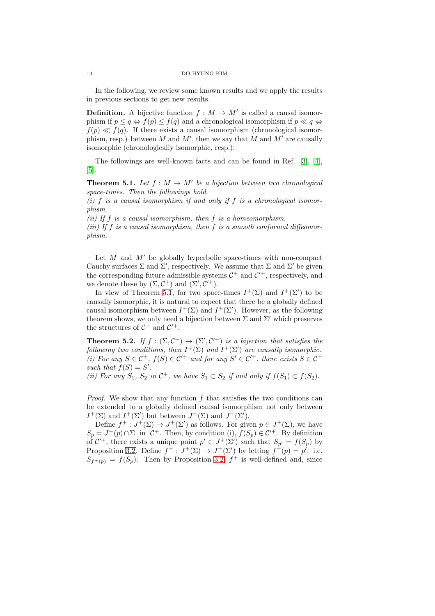In the following, we review some known results and we apply the results in previous sections to get new results.

**Definition.** A bijective function  $f : M \to M'$  is called a causal isomorphism if  $p \leq q \Leftrightarrow f(p) \leq f(q)$  and a chronological isomorphism if  $p \ll q \Leftrightarrow f(q)$  $f(p) \ll f(q)$ . If there exists a causal isomorphism (chronological isomorphism, resp.) between M and M', then we say that M and M' are causally isomorphic (chronologically isomorphic, resp.).

The followings are well-known facts and can be found in Ref. [\[3\]](#page-17-2), [\[4\]](#page-17-3), [\[5\]](#page-18-0).

<span id="page-13-0"></span>**Theorem 5.1.** Let  $f : M \to M'$  be a bijection between two chronological space-times. Then the followings hold.

(i) f is a causal isomorphism if and only if f is a chronological isomorphism.

(ii) If  $f$  is a causal isomorphism, then  $f$  is a homeomorphism. (iii) If f is a causal isomorphism, then f is a smooth conformal diffeomorphism.

Let  $M$  and  $M'$  be globally hyperbolic space-times with non-compact Cauchy surfaces  $\Sigma$  and  $\Sigma'$ , respectively. We assume that  $\Sigma$  and  $\Sigma'$  be given the corresponding future admissible systems  $C^+$  and  $C'^+$ , respectively, and we denote these by  $(\Sigma, \mathcal{C}^+)$  and  $(\Sigma', \mathcal{C}'^+)$ .

In view of Theorem [5.1,](#page-13-0) for two space-times  $I^+(\Sigma)$  and  $I^+(\Sigma')$  to be causally isomorphic, it is natural to expect that there be a globally defined causal isomorphism between  $I^+(\Sigma)$  and  $I^+(\Sigma')$ . However, as the following theorem shows, we only need a bijection between  $\Sigma$  and  $\Sigma'$  which preserves the structures of  $C^+$  and  $C'^+$ .

<span id="page-13-1"></span>**Theorem 5.2.** If  $f : (\Sigma, C^+) \to (\Sigma', C'^+)$  is a bijection that satisfies the following two conditions, then  $I^+(\Sigma)$  and  $I^+(\Sigma')$  are causally isomorphic. (i) For any  $S \in \mathcal{C}^+$ ,  $f(S) \in \mathcal{C}'^+$  and for any  $S' \in \mathcal{C}'^+$ , there exists  $S \in \mathcal{C}^+$ such that  $f(S) = S'$ .

(ii) For any  $S_1$ ,  $S_2$  in  $\mathcal{C}^+$ , we have  $S_1 \subset S_2$  if and only if  $f(S_1) \subset f(S_2)$ .

*Proof.* We show that any function f that satisfies the two conditions can be extended to a globally defined causal isomorphism not only between  $I^+(\Sigma)$  and  $I^+(\Sigma')$  but between  $J^+(\Sigma)$  and  $J^+(\Sigma')$ .

Define  $f^+ : J^+(\Sigma) \to J^+(\Sigma')$  as follows. For given  $p \in J^+(\Sigma)$ , we have  $S_p = J^-(p) \cap \Sigma$  in  $\mathcal{C}^+$ . Then, by condition (i),  $f(S_p) \in \mathcal{C}'^+$ . By definition of  $C^+$ , there exists a unique point  $p' \in J^+(\Sigma')$  such that  $S_{p'} = f(S_p)$  by Proposition [3.2.](#page-6-1) Define  $f^+ : J^+(\Sigma) \to J^+(\Sigma')$  by letting  $f^+(p) = p'$ . i.e.  $S_{f^+(p)} = f(S_p)$ . Then by Proposition [3.2,](#page-6-1)  $f^+$  is well-defined and, since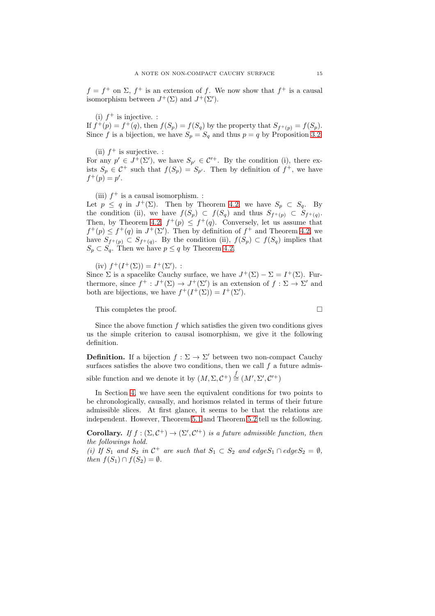$f = f^+$  on  $\Sigma$ ,  $f^+$  is an extension of f. We now show that  $f^+$  is a causal isomorphism between  $J^+(\Sigma)$  and  $J^+(\Sigma')$ .

(i)  $f^+$  is injective. :

If  $f^+(p) = f^+(q)$ , then  $f(S_p) = f(S_q)$  by the property that  $S_{f^+(p)} = f(S_p)$ . Since f is a bijection, we have  $S_p = S_q$  and thus  $p = q$  by Proposition [3.2.](#page-6-1)

(ii)  $f^+$  is surjective. :

For any  $p' \in J^+(\Sigma')$ , we have  $S_{p'} \in C'^+$ . By the condition (i), there exists  $S_p \in \mathcal{C}^+$  such that  $f(S_p) = S_{p'}$ . Then by definition of  $f^+$ , we have  $f^+(p) = p'.$ 

(iii)  $f^+$  is a causal isomorphism. :

Let  $p \leq q$  in  $J^+(\Sigma)$ . Then by Theorem [4.2,](#page-11-2) we have  $S_p \subset S_q$ . By the condition (ii), we have  $f(S_p) \subset f(S_q)$  and thus  $S_{f^+(p)} \subset S_{f^+(q)}$ . Then, by Theorem [4.2,](#page-11-2)  $f^+(p) \leq f^+(q)$ . Conversely, let us assume that  $f^+(p) \leq f^+(q)$  in  $J^+(\Sigma')$ . Then by definition of  $f^+$  and Theorem [4.2,](#page-11-2) we have  $S_{f^+(p)} \subset S_{f^+(q)}$ . By the condition (ii),  $f(S_p) \subset f(S_q)$  implies that  $S_p \subset S_q$ . Then we have  $p \leq q$  by Theorem [4.2.](#page-11-2)

(iv)  $f^+(I^+(\Sigma)) = I^+(\Sigma')$ . :

Since  $\Sigma$  is a spacelike Cauchy surface, we have  $J^+(\Sigma) - \Sigma = I^+(\Sigma)$ . Furthermore, since  $f^+ : J^+(\Sigma) \to J^+(\Sigma')$  is an extension of  $f : \Sigma \to \Sigma'$  and both are bijections, we have  $f^+(I^+(\Sigma)) = I^+(\Sigma').$ 

This completes the proof.

Since the above function  $f$  which satisfies the given two conditions gives us the simple criterion to causal isomorphism, we give it the following definition.

**Definition.** If a bijection  $f : \Sigma \to \Sigma'$  between two non-compact Cauchy surfaces satisfies the above two conditions, then we call  $f$  a future admis-

sible function and we denote it by  $(M, \Sigma, C^+) \stackrel{f}{\cong} (M', \Sigma', C'^+)$ 

In Section [4,](#page-8-3) we have seen the equivalent conditions for two points to be chronologically, causally, and horismos related in terms of their future admissible slices. At first glance, it seems to be that the relations are independent. However, Theorem [5.1](#page-13-0) and Theorem [5.2](#page-13-1) tell us the following.

**Corollary.** If  $f : (\Sigma, C^+) \to (\Sigma', C'^+)$  is a future admissible function, then the followings hold.

(i) If  $S_1$  and  $S_2$  in  $C^+$  are such that  $S_1 \subset S_2$  and edge $S_1 \cap edge S_2 = \emptyset$ , then  $f(S_1) \cap f(S_2) = \emptyset$ .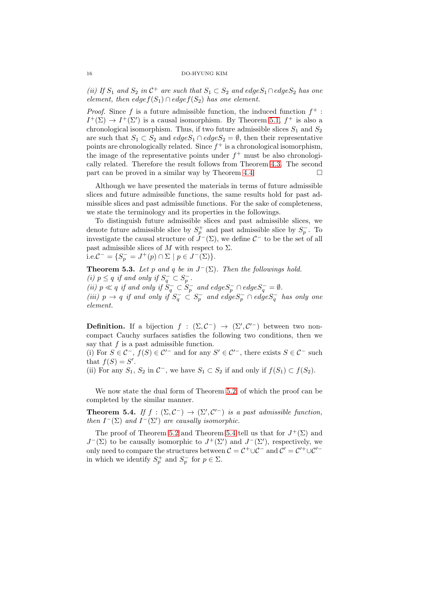(ii) If  $S_1$  and  $S_2$  in  $\mathcal{C}^+$  are such that  $S_1 \subset S_2$  and edge $S_1 \cap$ edge $S_2$  has one element, then edge $f(S_1) \cap edge f(S_2)$  has one element.

*Proof.* Since f is a future admissible function, the induced function  $f^+$ :  $I^+(\Sigma) \to I^+(\Sigma')$  is a causal isomorphism. By Theorem [5.1,](#page-13-0)  $f^+$  is also a chronological isomorphism. Thus, if two future admissible slices  $S_1$  and  $S_2$ are such that  $S_1 \subset S_2$  and  $edge S_1 \cap edge S_2 = \emptyset$ , then their representative points are chronologically related. Since  $f^+$  is a chronological isomorphism, the image of the representative points under  $f^+$  must be also chronologically related. Therefore the result follows from Theorem [4.3.](#page-11-1) The second part can be proved in a similar way by Theorem [4.4.](#page-12-0)

Although we have presented the materials in terms of future admissible slices and future admissible functions, the same results hold for past admissible slices and past admissible functions. For the sake of completeness, we state the terminology and its properties in the followings.

To distinguish future admissible slices and past admissible slices, we denote future admissible slice by  $S_p^+$  and past admissible slice by  $S_p^-$ . To investigate the causal structure of  $\hat{J}^-(\Sigma)$ , we define  $\mathcal{C}^-$  to be the set of all past admissible slices of M with respect to  $\Sigma$ . i.e. $C^{-} = \{ S_p^{-} = J^{+}(p) \cap \Sigma \mid p \in J^{-}(\Sigma) \}.$ 

<span id="page-15-1"></span>**Theorem 5.3.** Let p and q be in  $J^-(\Sigma)$ . Then the followings hold. (i)  $p \leq q$  if and only if  $S_q^- \subset S_p^-$ . (ii)  $p \ll q$  if and only if  $S_q^- \subset S_p^-$  and  $edge S_p^- \cap edge S_q^- = \emptyset$ . (iii)  $p \to q$  if and only if  $S_q^- \subset S_p^-$  and  $edge S_p^- \cap edge S_q^-$  has only one element.

**Definition.** If a bijection  $f : (\Sigma, \mathcal{C}^-) \to (\Sigma', \mathcal{C}'^-)$  between two noncompact Cauchy surfaces satisfies the following two conditions, then we say that  $f$  is a past admissible function.

(i) For  $S \in \mathcal{C}^-$ ,  $f(S) \in \mathcal{C}'^-$  and for any  $S' \in \mathcal{C}'^-$ , there exists  $S \in \mathcal{C}^-$  such that  $f(S) = S'$ .

(ii) For any  $S_1$ ,  $S_2$  in  $\mathcal{C}^-$ , we have  $S_1 \subset S_2$  if and only if  $f(S_1) \subset f(S_2)$ .

We now state the dual form of Theorem [5.2,](#page-13-1) of which the proof can be completed by the similar manner.

<span id="page-15-0"></span>**Theorem 5.4.** If  $f : (\Sigma, C^{-}) \to (\Sigma', C'^{-})$  is a past admissible function, then  $I^-(\Sigma)$  and  $I^-(\Sigma')$  are causally isomorphic.

The proof of Theorem [5.2](#page-13-1) and Theorem [5.4](#page-15-0) tell us that for  $J^+(\Sigma)$  and  $J^-(\Sigma)$  to be causally isomorphic to  $J^+(\Sigma')$  and  $J^-(\Sigma')$ , respectively, we only need to compare the structures between  $C = C^+ \cup C^-$  and  $C' = C'^+ \cup C'^$ in which we identify  $S_p^+$  and  $S_p^-$  for  $p \in \Sigma$ .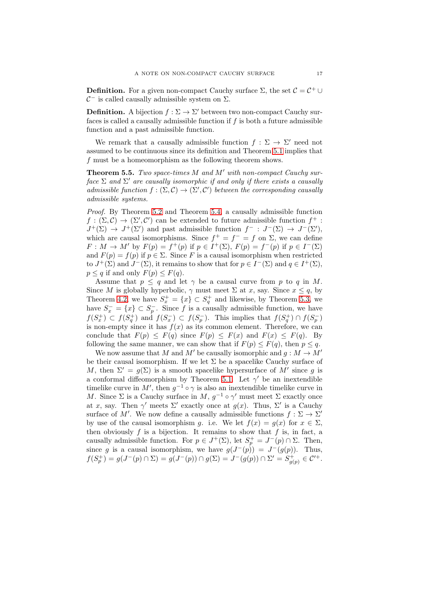**Definition.** For a given non-compact Cauchy surface  $\Sigma$ , the set  $C = C^+ \cup$  $\mathcal{C}^-$  is called causally admissible system on  $\Sigma$ .

**Definition.** A bijection  $f : \Sigma \to \Sigma'$  between two non-compact Cauchy surfaces is called a causally admissible function if  $f$  is both a future admissible function and a past admissible function.

We remark that a causally admissible function  $f : \Sigma \to \Sigma'$  need not assumed to be continuous since its definition and Theorem [5.1](#page-13-0) implies that f must be a homeomorphism as the following theorem shows.

<span id="page-16-0"></span>**Theorem 5.5.** Two space-times  $M$  and  $M'$  with non-compact Cauchy surface  $\Sigma$  and  $\Sigma'$  are causally isomorphic if and only if there exists a causally admissible function  $f : (\Sigma, \mathcal{C}) \to (\Sigma', \mathcal{C}')$  between the corresponding causally admissible systems.

Proof. By Theorem [5.2](#page-13-1) and Theorem [5.4,](#page-15-0) a causally admissible function  $f: (\Sigma, \mathcal{C}) \to (\Sigma', \mathcal{C}')$  can be extended to future admissible function  $f^+$ :  $J^+(\Sigma) \to J^+(\Sigma')$  and past admissible function  $f^- : J^-(\Sigma) \to J^-(\Sigma')$ , which are causal isomorphisms. Since  $f^+ = f^- = f$  on  $\Sigma$ , we can define  $F: M \to M'$  by  $F(p) = f^+(p)$  if  $p \in I^+(\Sigma)$ ,  $F(p) = f^-(p)$  if  $p \in I^-(\Sigma)$ and  $F(p) = f(p)$  if  $p \in \Sigma$ . Since F is a causal isomorphism when restricted to  $J^+(\Sigma)$  and  $J^-(\Sigma)$ , it remains to show that for  $p \in I^-(\Sigma)$  and  $q \in I^+(\Sigma)$ ,  $p \leq q$  if and only  $F(p) \leq F(q)$ .

Assume that  $p \leq q$  and let  $\gamma$  be a causal curve from p to q in M. Since M is globally hyperbolic,  $\gamma$  must meet  $\Sigma$  at x, say. Since  $x \leq q$ , by Theorem [4.2,](#page-11-2) we have  $S_x^+ = \{x\} \subset S_q^+$  and likewise, by Theorem [5.3,](#page-15-1) we have  $S_x^- = \{x\} \subset S_p^-$ . Since f is a causally admissible function, we have  $f(S_x^+) \subset f(S_q^+)$  and  $f(S_x^-) \subset f(S_p^-)$ . This implies that  $f(S_q^+) \cap f(S_p^-)$ is non-empty since it has  $f(x)$  as its common element. Therefore, we can conclude that  $F(p) \leq F(q)$  since  $F(p) \leq F(x)$  and  $F(x) \leq F(q)$ . By following the same manner, we can show that if  $F(p) \leq F(q)$ , then  $p \leq q$ .

We now assume that M and M' be causally isomorphic and  $g : M \to M'$ be their causal isomorphism. If we let  $\Sigma$  be a spacelike Cauchy surface of M, then  $\Sigma' = g(\Sigma)$  is a smooth spacelike hypersurface of M' since g is a conformal diffeomorphism by Theorem [5.1.](#page-13-0) Let  $\gamma'$  be an inextendible timelike curve in M', then  $g^{-1} \circ \gamma$  is also an inextendible timelike curve in M. Since  $\Sigma$  is a Cauchy surface in M,  $g^{-1} \circ \gamma'$  must meet  $\Sigma$  exactly once at x, say. Then  $\gamma'$  meets  $\Sigma'$  exactly once at  $g(x)$ . Thus,  $\Sigma'$  is a Cauchy surface of M'. We now define a causally admissible functions  $f : \Sigma \to \Sigma'$ by use of the causal isomorphism g. i.e. We let  $f(x) = g(x)$  for  $x \in \Sigma$ , then obviously  $f$  is a bijection. It remains to show that  $f$  is, in fact, a causally admissible function. For  $p \in J^+(\Sigma)$ , let  $S_p^+ = J^-(p) \cap \Sigma$ . Then, since g is a causal isomorphism, we have  $g(J^-(p)) = J^-(g(p))$ . Thus,  $f(S_p^+) = g(J^-(p) \cap \Sigma) = g(J^-(p)) \cap g(\Sigma) = J^-(g(p)) \cap \Sigma' = S_{g(p)}^+ \in \mathcal{C}'^+.$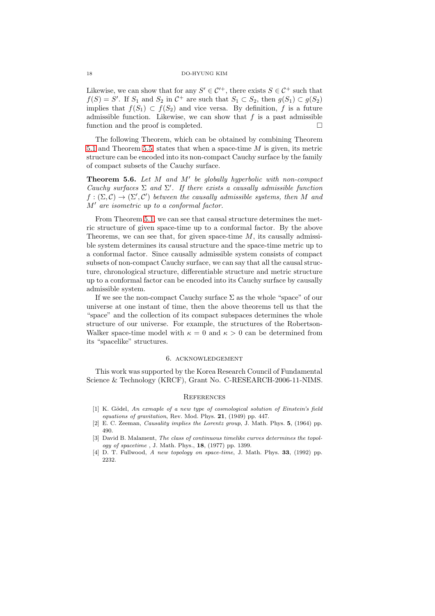Likewise, we can show that for any  $S' \in \mathcal{C}^+$ , there exists  $S \in \mathcal{C}^+$  such that  $f(S) = S'$ . If  $S_1$  and  $S_2$  in  $C^+$  are such that  $S_1 \subset S_2$ , then  $g(S_1) \subset g(S_2)$ implies that  $f(S_1) \subset f(S_2)$  and vice versa. By definition, f is a future admissible function. Likewise, we can show that  $f$  is a past admissible function and the proof is completed.

The following Theorem, which can be obtained by combining Theorem [5.1](#page-13-0) and Theorem [5.5,](#page-16-0) states that when a space-time M is given, its metric structure can be encoded into its non-compact Cauchy surface by the family of compact subsets of the Cauchy surface.

**Theorem 5.6.** Let  $M$  and  $M'$  be globally hyperbolic with non-compact Cauchy surfaces  $\Sigma$  and  $\Sigma'$ . If there exists a causally admissible function  $f:(\Sigma,\mathcal{C})\to(\Sigma',\mathcal{C}')$  between the causally admissible systems, then M and M′ are isometric up to a conformal factor.

From Theorem [5.1,](#page-13-0) we can see that causal structure determines the metric structure of given space-time up to a conformal factor. By the above Theorems, we can see that, for given space-time  $M$ , its causally admissible system determines its causal structure and the space-time metric up to a conformal factor. Since causally admissible system consists of compact subsets of non-compact Cauchy surface, we can say that all the causal structure, chronological structure, differentiable structure and metric structure up to a conformal factor can be encoded into its Cauchy surface by causally admissible system.

If we see the non-compact Cauchy surface  $\Sigma$  as the whole "space" of our universe at one instant of time, then the above theorems tell us that the "space" and the collection of its compact subspaces determines the whole structure of our universe. For example, the structures of the Robertson-Walker space-time model with  $\kappa = 0$  and  $\kappa > 0$  can be determined from its "spacelike" structures.

#### 6. acknowledgement

This work was supported by the Korea Research Council of Fundamental Science & Technology (KRCF), Grant No. C-RESEARCH-2006-11-NIMS.

#### **REFERENCES**

- <span id="page-17-0"></span> $[1]$  K. Gödel, An exmaple of a new type of cosmological solution of Einstein's field equations of gravitation, Rev. Mod. Phys.  $21$ , (1949) pp. 447.
- <span id="page-17-2"></span><span id="page-17-1"></span>[2] E. C. Zeeman, Causality implies the Lorentz group, J. Math. Phys. 5, (1964) pp. 490.
- [3] David B. Malament, The class of continuous timelike curves determines the topology of spacetime , J. Math. Phys.,  $18$ ,  $(1977)$  pp. 1399.
- <span id="page-17-3"></span>[4] D. T. Fullwood, A new topology on space-time, J. Math. Phys. 33, (1992) pp. 2232.